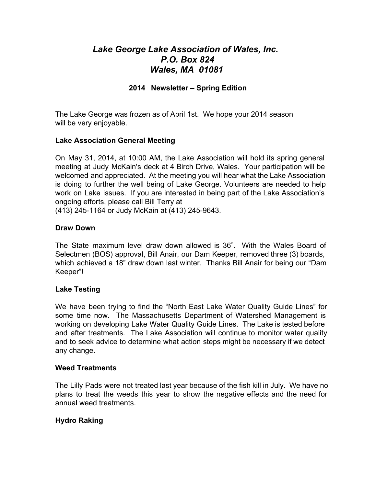# *Lake George Lake Association of Wales, Inc. P.O. Box 824 Wales, MA 01081*

#### **2014 Newsletter – Spring Edition**

The Lake George was frozen as of April 1st. We hope your 2014 season will be very enjoyable.

#### **Lake Association General Meeting**

On May 31, 2014, at 10:00 AM, the Lake Association will hold its spring general meeting at Judy McKain's deck at 4 Birch Drive, Wales. Your participation will be welcomed and appreciated. At the meeting you will hear what the Lake Association is doing to further the well being of Lake George. Volunteers are needed to help work on Lake issues. If you are interested in being part of the Lake Association's ongoing efforts, please call Bill Terry at

(413) 245-1164 or Judy McKain at (413) 245-9643.

#### **Draw Down**

The State maximum level draw down allowed is 36". With the Wales Board of Selectmen (BOS) approval, Bill Anair, our Dam Keeper, removed three (3) boards, which achieved a 18" draw down last winter. Thanks Bill Anair for being our "Dam Keeper"!

#### **Lake Testing**

We have been trying to find the "North East Lake Water Quality Guide Lines" for some time now. The Massachusetts Department of Watershed Management is working on developing Lake Water Quality Guide Lines. The Lake is tested before and after treatments. The Lake Association will continue to monitor water quality and to seek advice to determine what action steps might be necessary if we detect any change.

#### **Weed Treatments**

The Lilly Pads were not treated last year because of the fish kill in July. We have no plans to treat the weeds this year to show the negative effects and the need for annual weed treatments.

#### **Hydro Raking**